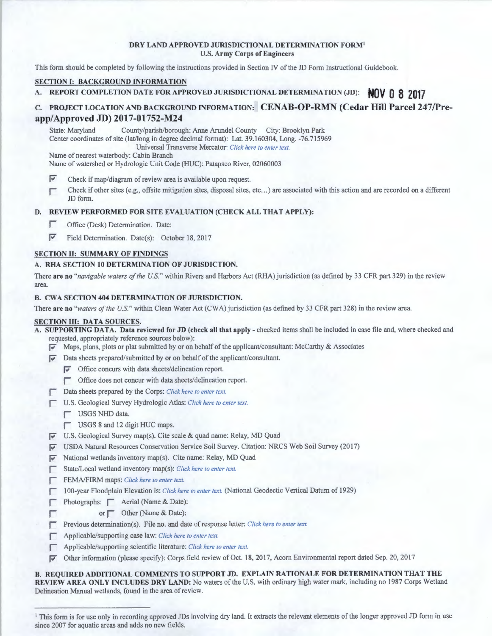#### **DRY LAND APPROVED JURISDICTIONAL DETERMINATION FORM<sup>1</sup>** U.S. **Army Corps of Engineers**

This form should be completed by following the instructions provided in Section IV of the JD Form Instructional Guidebook.

### **SECTION I: BACKGROUND INFORMATION**

**A. REPORT COMPLETION DATE FOR APPROVED JURISDICTIONAL DETERMINATION (JD): NOV 0 8 2017** 

# **c. PROJECT LOCATION AND BACKGROUND INFORMATION: CENAB-OP-RMN (Cedar Hill Parcel 247/Preapp/Approved JD) 2017-01752-M24**

State: Maryland County/parish/borough: Anne Arundel County City: Brooklyn Park Center coordinates of site (lat/long in degree decimal format): Lat. 39. I 60304, Long. -76.715969

Universal Transverse Mercator: *Click here to enter text.* 

Name of nearest waterbody: Cabin Branch

Name of watershed or Hydrologic Unit Code (HUC): Patapsco River, 02060003

 $\blacktriangleright$  Check if map/diagram of review area is available upon request.

I Check if other sites (e.g., offsite mitigation sites, disposal sites, etc ... ) are associated with this action and are recorded on a different JD form.

# **D. REVIEW PERFORMED FOR SITE EVALUATION (CHECK ALL THAT APPLY):**

- **I Office (Desk) Determination. Date:**
- Field Determination. Date(s): October 18, 2017

#### **SECTION II: SUMMARY OF FINDINGS**

# **A. RHA SECTION 10 DETERMINATION OF JURISDICTION.**

There **are no** *"navigable waters of the U.S."* within Rivers and Harbors Act (RHA) jurisdiction (as defined by 33 CFR part 329) in the review area.

#### **B. CWA SECTION 404 DETERMINATION OF JURISDICTION.**

There **are no** *"waters of the U.S."* within Clean Water Act (CWA) jurisdiction (as defined by 33 CFR part 328) in the review area.

# **SECTION III: DATA SOURCES.**

**A. SUPPORTING DAT A. Data reviewed for JD (check all that apply** - checked items shall be included in case file and, where checked and requested, appropriately reference sources below):

- **p-** Maps, plans, plots or plat submitted by or on behalf of the applicant/consultant: McCarthy & Associates
- **F** Data sheets prepared/submitted by or on behalf of the applicant/consultant.
	- **F** Office concurs with data sheets/delineation report.
	- $\Box$  Office does not concur with data sheets/delineation report.
	- Data sheets prepared by the Corps: *Click here to enter text*.
- I U.S. Geological Survey Hydrologic Atlas: *Click here to enter text.* 
	- USGS NHD data.
	- USGS 8 and 12 digit HUC maps.
- **F** U.S. Geological Survey map(s). Cite scale & quad name: Relay, MD Quad
- **F** USDA Natural Resources Conservation Service Soil Survey. Citation: NRCS Web Soil Survey (2017)
- *p* National wetlands inventory map(s). Cite name: Relay, MD Quad
- I State/Local wetland inventory map(s): *Click here to enter text.*
- FEMA/FIRM maps: *Click here to enter text.*
- **I 100-year Floodplain Elevation is:** *Click here to enter text.* (National Geodectic Vertical Datum of 1929)
- Photographs:  $\Box$  Aerial (Name & Date):
- or Cher (Name & Date):
- **Previous determination(s).** File no. and date of response letter: *Click here to enter text.*
- I Applicable/supporting case law: *Click here to enter text.*
- I Applicable/supporting scientific literature: *Click here to enter text.*
- **P** Other information (please specify): Corps field review of Oct. 18, 2017, Acorn Environmental report dated Sep. 20, 2017

**B. REQUIRED ADDITIONAL COMMENTS TO SUPPORT JD. EXPLAIN RATIONALE FOR DETERMINATION THAT THE REVIEW AREA ONLY INCLUDES DRY LAND:** No waters of the U.S. with ordinary high water mark, including no 1987 Corps Wetland Delineation Manual wetlands, found in the area of review.

<sup>&</sup>lt;sup>1</sup> This form is for use only in recording approved JDs involving dry land. It extracts the relevant elements of the longer approved JD form in use since 2007 for aquatic areas and adds no new fields.